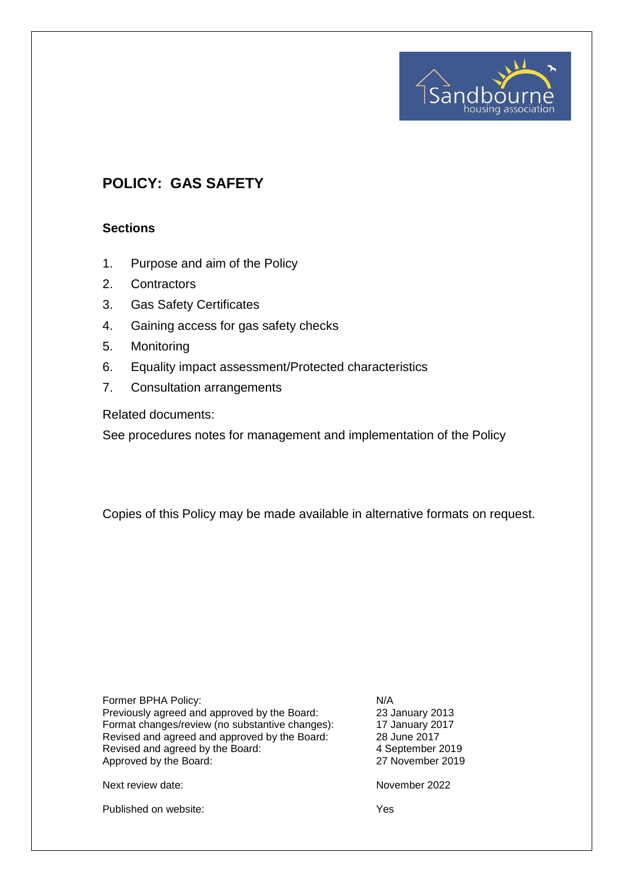# **POLICY: GAS SAFETY**

#### **Sections**

- 1. Purpose and aim of the Policy
- 2. Contractors
- 3. Gas Safety Certificates
- 4. Gaining access for gas safety checks
- 5. Monitoring
- 6. Equality impact assessment/Protected characteristics
- 7. Consultation arrangements

Related documents:

See procedures notes for management and implementation of the Policy

Copies of this Policy may be made available in alternative formats on request.

| Former BPHA Policy:                                                                             | N/A         |
|-------------------------------------------------------------------------------------------------|-------------|
| Previously agreed and approved by the Board:<br>Format changes/review (no substantive changes): | 23、<br>17 、 |
|                                                                                                 |             |
| Revised and agreed by the Board:                                                                | 4 S         |
| Approved by the Board:                                                                          | 271         |

23 January 2013 17 January 2017 28 June 2017 4 September 2019 27 November 2019

Next review date: November 2022

Published on website: Yes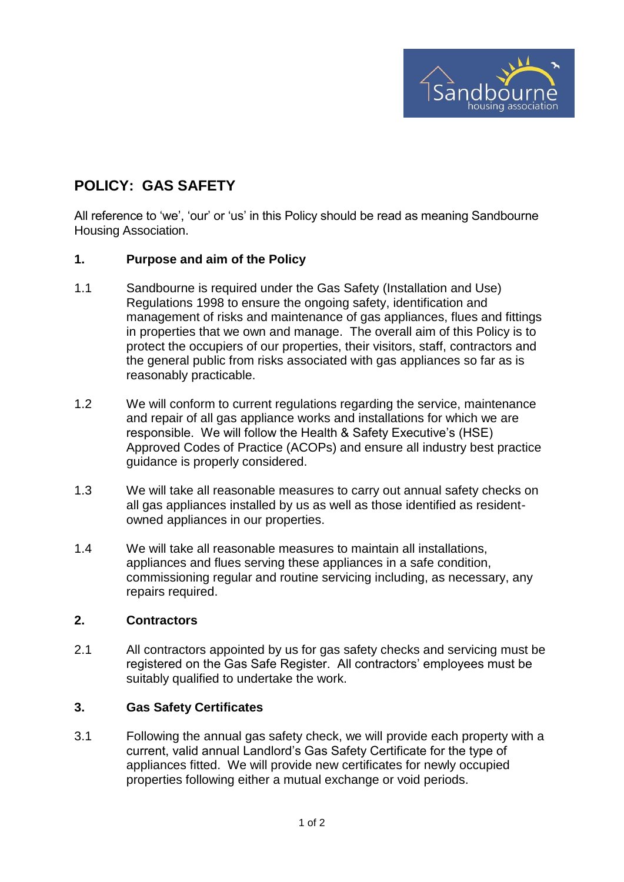

## **POLICY: GAS SAFETY**

All reference to 'we', 'our' or 'us' in this Policy should be read as meaning Sandbourne Housing Association.

## **1. Purpose and aim of the Policy**

- 1.1 Sandbourne is required under the Gas Safety (Installation and Use) Regulations 1998 to ensure the ongoing safety, identification and management of risks and maintenance of gas appliances, flues and fittings in properties that we own and manage. The overall aim of this Policy is to protect the occupiers of our properties, their visitors, staff, contractors and the general public from risks associated with gas appliances so far as is reasonably practicable.
- 1.2 We will conform to current regulations regarding the service, maintenance and repair of all gas appliance works and installations for which we are responsible. We will follow the Health & Safety Executive's (HSE) Approved Codes of Practice (ACOPs) and ensure all industry best practice guidance is properly considered.
- 1.3 We will take all reasonable measures to carry out annual safety checks on all gas appliances installed by us as well as those identified as residentowned appliances in our properties.
- 1.4 We will take all reasonable measures to maintain all installations, appliances and flues serving these appliances in a safe condition, commissioning regular and routine servicing including, as necessary, any repairs required.

## **2. Contractors**

2.1 All contractors appointed by us for gas safety checks and servicing must be registered on the Gas Safe Register. All contractors' employees must be suitably qualified to undertake the work.

## **3. Gas Safety Certificates**

3.1 Following the annual gas safety check, we will provide each property with a current, valid annual Landlord's Gas Safety Certificate for the type of appliances fitted. We will provide new certificates for newly occupied properties following either a mutual exchange or void periods.